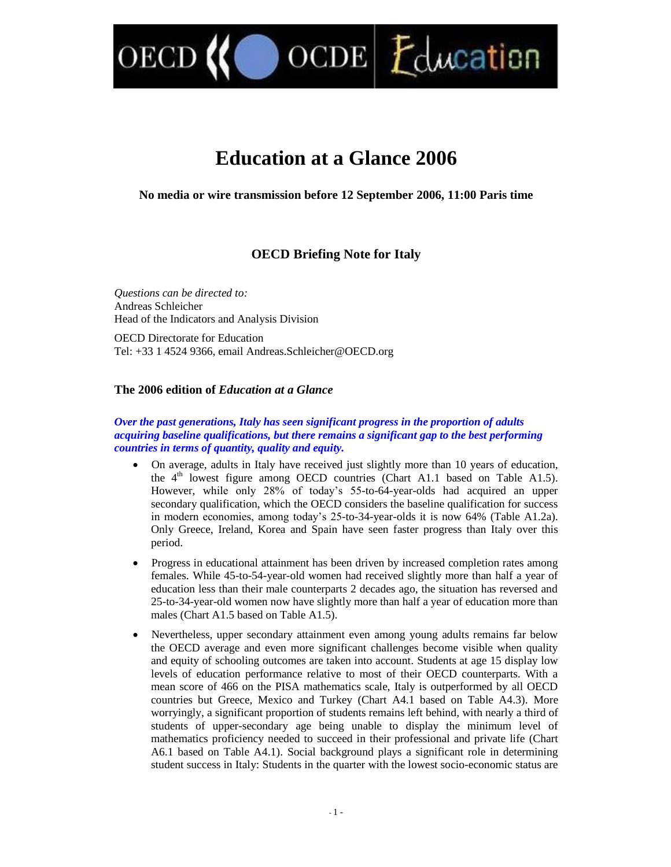$OCDE$   $L$   $L$   $C$   $M$  $C$   $C$   $C$   $D$   $D$ 

# **Education at a Glance 2006**

**No media or wire transmission before 12 September 2006, 11:00 Paris time**

# **OECD Briefing Note for Italy**

*Questions can be directed to:* Andreas Schleicher Head of the Indicators and Analysis Division

OECD

OECD Directorate for Education Tel: +33 1 4524 9366, email Andreas.Schleicher@OECD.org

# **The 2006 edition of** *Education at a Glance*

#### *Over the past generations, Italy has seen significant progress in the proportion of adults acquiring baseline qualifications, but there remains a significant gap to the best performing countries in terms of quantity, quality and equity.*

- On average, adults in Italy have received just slightly more than 10 years of education, the  $4<sup>th</sup>$  lowest figure among OECD countries (Chart A1.1 based on Table A1.5). However, while only 28% of today's 55-to-64-year-olds had acquired an upper secondary qualification, which the OECD considers the baseline qualification for success in modern economies, among today's 25-to-34-year-olds it is now 64% (Table A1.2a). Only Greece, Ireland, Korea and Spain have seen faster progress than Italy over this period.
- Progress in educational attainment has been driven by increased completion rates among females. While 45-to-54-year-old women had received slightly more than half a year of education less than their male counterparts 2 decades ago, the situation has reversed and 25-to-34-year-old women now have slightly more than half a year of education more than males (Chart A1.5 based on Table A1.5).
- Nevertheless, upper secondary attainment even among young adults remains far below the OECD average and even more significant challenges become visible when quality and equity of schooling outcomes are taken into account. Students at age 15 display low levels of education performance relative to most of their OECD counterparts. With a mean score of 466 on the PISA mathematics scale, Italy is outperformed by all OECD countries but Greece, Mexico and Turkey (Chart A4.1 based on Table A4.3). More worryingly, a significant proportion of students remains left behind, with nearly a third of students of upper-secondary age being unable to display the minimum level of mathematics proficiency needed to succeed in their professional and private life (Chart A6.1 based on Table A4.1). Social background plays a significant role in determining student success in Italy: Students in the quarter with the lowest socio-economic status are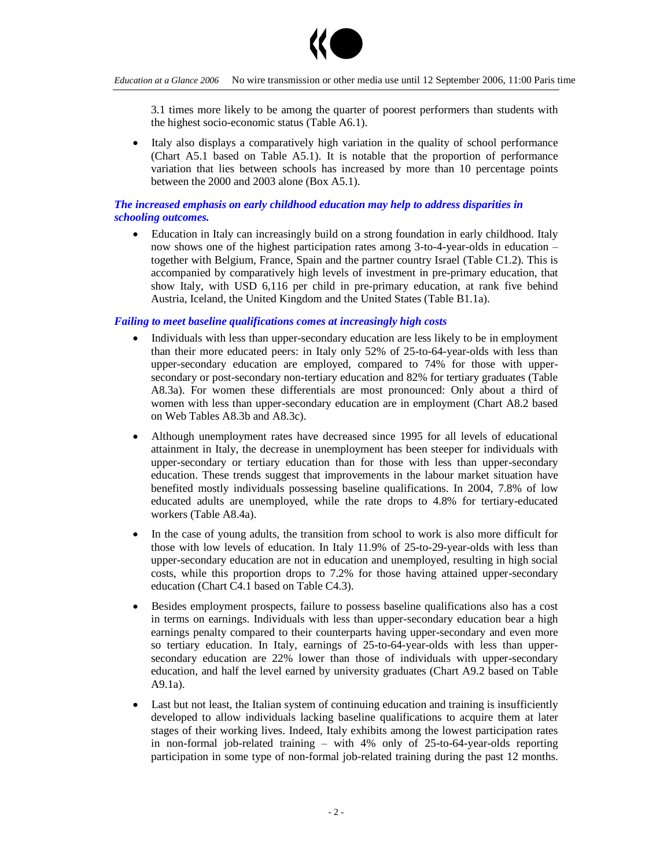

3.1 times more likely to be among the quarter of poorest performers than students with the highest socio-economic status (Table A6.1).

 Italy also displays a comparatively high variation in the quality of school performance (Chart A5.1 based on Table A5.1). It is notable that the proportion of performance variation that lies between schools has increased by more than 10 percentage points between the 2000 and 2003 alone (Box A5.1).

## *The increased emphasis on early childhood education may help to address disparities in schooling outcomes.*

 Education in Italy can increasingly build on a strong foundation in early childhood. Italy now shows one of the highest participation rates among 3-to-4-year-olds in education – together with Belgium, France, Spain and the partner country Israel (Table C1.2). This is accompanied by comparatively high levels of investment in pre-primary education, that show Italy, with USD 6,116 per child in pre-primary education, at rank five behind Austria, Iceland, the United Kingdom and the United States (Table B1.1a).

#### *Failing to meet baseline qualifications comes at increasingly high costs*

- Individuals with less than upper-secondary education are less likely to be in employment than their more educated peers: in Italy only 52% of 25-to-64-year-olds with less than upper-secondary education are employed, compared to 74% for those with uppersecondary or post-secondary non-tertiary education and 82% for tertiary graduates (Table A8.3a). For women these differentials are most pronounced: Only about a third of women with less than upper-secondary education are in employment (Chart A8.2 based on Web Tables A8.3b and A8.3c).
- Although unemployment rates have decreased since 1995 for all levels of educational attainment in Italy, the decrease in unemployment has been steeper for individuals with upper-secondary or tertiary education than for those with less than upper-secondary education. These trends suggest that improvements in the labour market situation have benefited mostly individuals possessing baseline qualifications. In 2004, 7.8% of low educated adults are unemployed, while the rate drops to 4.8% for tertiary-educated workers (Table A8.4a).
- In the case of young adults, the transition from school to work is also more difficult for those with low levels of education. In Italy 11.9% of 25-to-29-year-olds with less than upper-secondary education are not in education and unemployed, resulting in high social costs, while this proportion drops to 7.2% for those having attained upper-secondary education (Chart C4.1 based on Table C4.3).
- Besides employment prospects, failure to possess baseline qualifications also has a cost in terms on earnings. Individuals with less than upper-secondary education bear a high earnings penalty compared to their counterparts having upper-secondary and even more so tertiary education. In Italy, earnings of 25-to-64-year-olds with less than uppersecondary education are 22% lower than those of individuals with upper-secondary education, and half the level earned by university graduates (Chart A9.2 based on Table A9.1a).
- Last but not least, the Italian system of continuing education and training is insufficiently developed to allow individuals lacking baseline qualifications to acquire them at later stages of their working lives. Indeed, Italy exhibits among the lowest participation rates in non-formal job-related training  $-$  with 4% only of 25-to-64-year-olds reporting participation in some type of non-formal job-related training during the past 12 months.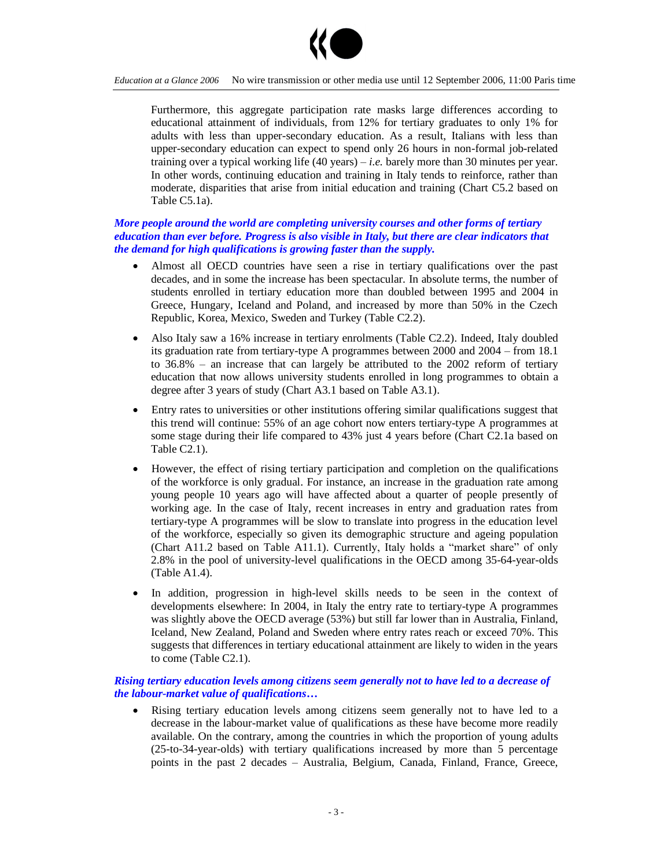

#### *Education at a Glance 2006* No wire transmission or other media use until 12 September 2006, 11:00 Paris time

Furthermore, this aggregate participation rate masks large differences according to educational attainment of individuals, from 12% for tertiary graduates to only 1% for adults with less than upper-secondary education. As a result, Italians with less than upper-secondary education can expect to spend only 26 hours in non-formal job-related training over a typical working life (40 years) –*i.e.* barely more than 30 minutes per year. In other words, continuing education and training in Italy tends to reinforce, rather than moderate, disparities that arise from initial education and training (Chart C5.2 based on Table C5.1a).

#### *More people around the world are completing university courses and other forms of tertiary education than ever before. Progress is also visible in Italy, but there are clear indicators that the demand for high qualifications is growing faster than the supply.*

- Almost all OECD countries have seen a rise in tertiary qualifications over the past decades, and in some the increase has been spectacular. In absolute terms, the number of students enrolled in tertiary education more than doubled between 1995 and 2004 in Greece, Hungary, Iceland and Poland, and increased by more than 50% in the Czech Republic, Korea, Mexico, Sweden and Turkey (Table C2.2).
- Also Italy saw a 16% increase in tertiary enrolments (Table C2.2). Indeed, Italy doubled its graduation rate from tertiary-type A programmes between  $2000$  and  $2004 -$  from 18.1 to  $36.8\%$  – an increase that can largely be attributed to the 2002 reform of tertiary education that now allows university students enrolled in long programmes to obtain a degree after 3 years of study (Chart A3.1 based on Table A3.1).
- Entry rates to universities or other institutions offering similar qualifications suggest that this trend will continue: 55% of an age cohort now enters tertiary-type A programmes at some stage during their life compared to 43% just 4 years before (Chart C2.1a based on Table C2.1).
- However, the effect of rising tertiary participation and completion on the qualifications of the workforce is only gradual. For instance, an increase in the graduation rate among young people 10 years ago will have affected about a quarter of people presently of working age. In the case of Italy, recent increases in entry and graduation rates from tertiary-type A programmes will be slow to translate into progress in the education level of the workforce, especially so given its demographic structure and ageing population (Chart A11.2 based on Table A11.1). Currently, Italy holds a "market share" of only 2.8% in the pool of university-level qualifications in the OECD among 35-64-year-olds (Table A1.4).
- In addition, progression in high-level skills needs to be seen in the context of developments elsewhere: In 2004, in Italy the entry rate to tertiary-type A programmes was slightly above the OECD average (53%) but still far lower than in Australia, Finland, Iceland, New Zealand, Poland and Sweden where entry rates reach or exceed 70%. This suggests that differences in tertiary educational attainment are likely to widen in the years to come (Table C2.1).

## *Rising tertiary education levels among citizens seem generally not to have led to a decrease of the labour-market value of qualifications…*

 Rising tertiary education levels among citizens seem generally not to have led to a decrease in the labour-market value of qualifications as these have become more readily available. On the contrary, among the countries in which the proportion of young adults (25-to-34-year-olds) with tertiary qualifications increased by more than 5 percentage points in the past 2 decades – Australia, Belgium, Canada, Finland, France, Greece,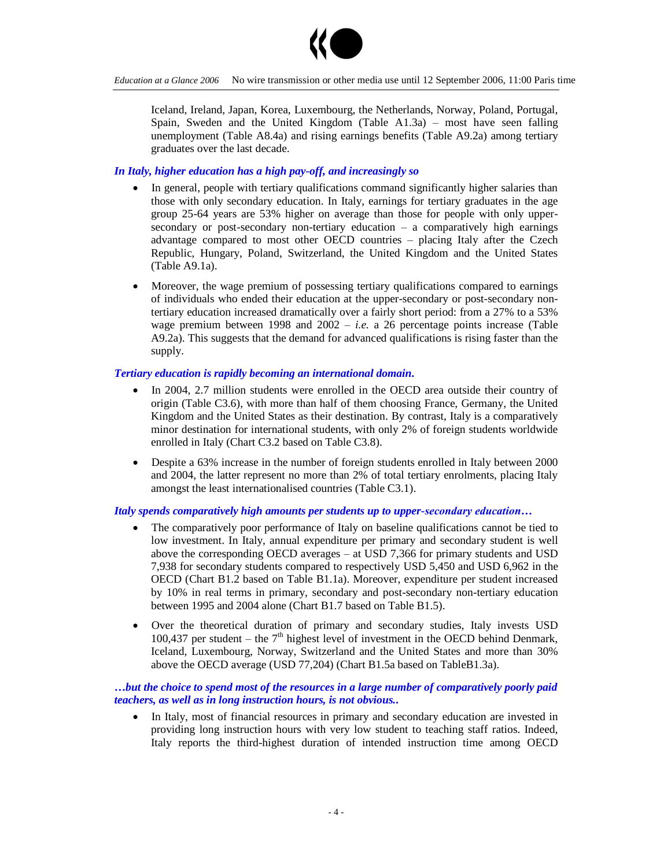

Iceland, Ireland, Japan, Korea, Luxembourg, the Netherlands, Norway, Poland, Portugal, Spain, Sweden and the United Kingdom (Table  $A1.3a$ ) – most have seen falling unemployment (Table A8.4a) and rising earnings benefits (Table A9.2a) among tertiary graduates over the last decade.

## *In Italy, higher education has a high pay-off, and increasingly so*

- In general, people with tertiary qualifications command significantly higher salaries than those with only secondary education. In Italy, earnings for tertiary graduates in the age group 25-64 years are 53% higher on average than those for people with only uppersecondary or post-secondary non-tertiary education  $-$  a comparatively high earnings advantage compared to most other OECD countries - placing Italy after the Czech Republic, Hungary, Poland, Switzerland, the United Kingdom and the United States (Table A9.1a).
- Moreover, the wage premium of possessing tertiary qualifications compared to earnings of individuals who ended their education at the upper-secondary or post-secondary nontertiary education increased dramatically over a fairly short period: from a 27% to a 53% wage premium between 1998 and  $2002 - i.e.$  a 26 percentage points increase (Table A9.2a). This suggests that the demand for advanced qualifications is rising faster than the supply.

# *Tertiary education is rapidly becoming an international domain.*

- In 2004, 2.7 million students were enrolled in the OECD area outside their country of origin (Table C3.6), with more than half of them choosing France, Germany, the United Kingdom and the United States as their destination. By contrast, Italy is a comparatively minor destination for international students, with only 2% of foreign students worldwide enrolled in Italy (Chart C3.2 based on Table C3.8).
- Despite a 63% increase in the number of foreign students enrolled in Italy between 2000 and 2004, the latter represent no more than 2% of total tertiary enrolments, placing Italy amongst the least internationalised countries (Table C3.1).

#### *Italy spends comparatively high amounts per students up to upper-secondary education...*

- The comparatively poor performance of Italy on baseline qualifications cannot be tied to low investment. In Italy, annual expenditure per primary and secondary student is well above the corresponding OECD averages  $-$  at USD 7,366 for primary students and USD 7,938 for secondary students compared to respectively USD 5,450 and USD 6,962 in the OECD (Chart B1.2 based on Table B1.1a). Moreover, expenditure per student increased by 10% in real terms in primary, secondary and post-secondary non-tertiary education between 1995 and 2004 alone (Chart B1.7 based on Table B1.5).
- Over the theoretical duration of primary and secondary studies, Italy invests USD 100,437 per student – the  $7<sup>th</sup>$  highest level of investment in the OECD behind Denmark, Iceland, Luxembourg, Norway, Switzerland and the United States and more than 30% above the OECD average (USD 77,204) (Chart B1.5a based on TableB1.3a).

#### *…but the choice to spend most of the resources in a large number of comparatively poorly paid teachers, as well as in long instruction hours, is not obvious..*

 In Italy, most of financial resources in primary and secondary education are invested in providing long instruction hours with very low student to teaching staff ratios. Indeed, Italy reports the third-highest duration of intended instruction time among OECD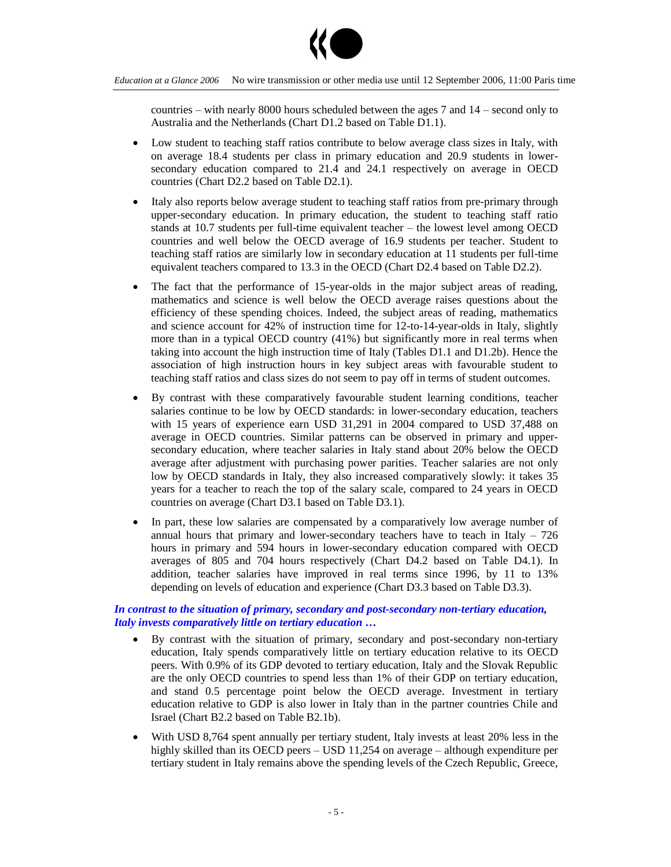

countries – with nearly 8000 hours scheduled between the ages  $7$  and  $14$  – second only to Australia and the Netherlands (Chart D1.2 based on Table D1.1).

- Low student to teaching staff ratios contribute to below average class sizes in Italy, with on average 18.4 students per class in primary education and 20.9 students in lowersecondary education compared to 21.4 and 24.1 respectively on average in OECD countries (Chart D2.2 based on Table D2.1).
- Italy also reports below average student to teaching staff ratios from pre-primary through upper-secondary education. In primary education, the student to teaching staff ratio stands at  $10.7$  students per full-time equivalent teacher – the lowest level among OECD countries and well below the OECD average of 16.9 students per teacher. Student to teaching staff ratios are similarly low in secondary education at 11 students per full-time equivalent teachers compared to 13.3 in the OECD (Chart D2.4 based on Table D2.2).
- The fact that the performance of 15-year-olds in the major subject areas of reading, mathematics and science is well below the OECD average raises questions about the efficiency of these spending choices. Indeed, the subject areas of reading, mathematics and science account for 42% of instruction time for 12-to-14-year-olds in Italy, slightly more than in a typical OECD country (41%) but significantly more in real terms when taking into account the high instruction time of Italy (Tables D1.1 and D1.2b). Hence the association of high instruction hours in key subject areas with favourable student to teaching staff ratios and class sizes do not seem to pay off in terms of student outcomes.
- By contrast with these comparatively favourable student learning conditions, teacher salaries continue to be low by OECD standards: in lower-secondary education, teachers with 15 years of experience earn USD 31,291 in 2004 compared to USD 37,488 on average in OECD countries. Similar patterns can be observed in primary and uppersecondary education, where teacher salaries in Italy stand about 20% below the OECD average after adjustment with purchasing power parities. Teacher salaries are not only low by OECD standards in Italy, they also increased comparatively slowly: it takes 35 years for a teacher to reach the top of the salary scale, compared to 24 years in OECD countries on average (Chart D3.1 based on Table D3.1).
- In part, these low salaries are compensated by a comparatively low average number of annual hours that primary and lower-secondary teachers have to teach in Italy  $-726$ hours in primary and 594 hours in lower-secondary education compared with OECD averages of 805 and 704 hours respectively (Chart D4.2 based on Table D4.1). In addition, teacher salaries have improved in real terms since 1996, by 11 to 13% depending on levels of education and experience (Chart D3.3 based on Table D3.3).

#### *In contrast to the situation of primary, secondary and post-secondary non-tertiary education, Italy invests comparatively little on tertiary education …*

- By contrast with the situation of primary, secondary and post-secondary non-tertiary education, Italy spends comparatively little on tertiary education relative to its OECD peers. With 0.9% of its GDP devoted to tertiary education, Italy and the Slovak Republic are the only OECD countries to spend less than 1% of their GDP on tertiary education, and stand 0.5 percentage point below the OECD average. Investment in tertiary education relative to GDP is also lower in Italy than in the partner countries Chile and Israel (Chart B2.2 based on Table B2.1b).
- With USD 8,764 spent annually per tertiary student, Italy invests at least 20% less in the highly skilled than its OECD peers  $-$  USD 11,254 on average  $-$  although expenditure per tertiary student in Italy remains above the spending levels of the Czech Republic, Greece,